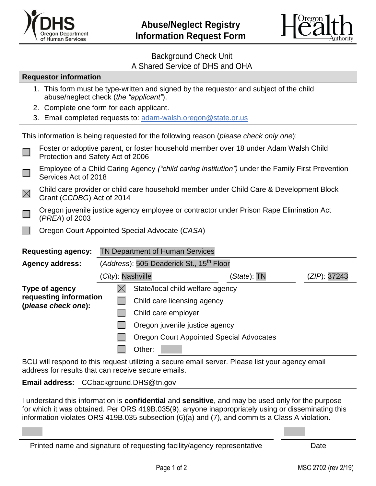



## Background Check Unit A Shared Service of DHS and OHA

| <b>Requestor information</b>                                                                                                                           |                                                                                                                           |                                                                                                                      |                                                 |             |              |  |  |  |
|--------------------------------------------------------------------------------------------------------------------------------------------------------|---------------------------------------------------------------------------------------------------------------------------|----------------------------------------------------------------------------------------------------------------------|-------------------------------------------------|-------------|--------------|--|--|--|
| 1. This form must be type-written and signed by the requestor and subject of the child<br>abuse/neglect check (the "applicant").                       |                                                                                                                           |                                                                                                                      |                                                 |             |              |  |  |  |
|                                                                                                                                                        | 2. Complete one form for each applicant.                                                                                  |                                                                                                                      |                                                 |             |              |  |  |  |
|                                                                                                                                                        | 3. Email completed requests to: adam-walsh.oregon@state.or.us                                                             |                                                                                                                      |                                                 |             |              |  |  |  |
| This information is being requested for the following reason (please check only one):                                                                  |                                                                                                                           |                                                                                                                      |                                                 |             |              |  |  |  |
|                                                                                                                                                        | Foster or adoptive parent, or foster household member over 18 under Adam Walsh Child<br>Protection and Safety Act of 2006 |                                                                                                                      |                                                 |             |              |  |  |  |
|                                                                                                                                                        | Employee of a Child Caring Agency ("child caring institution") under the Family First Prevention<br>Services Act of 2018  |                                                                                                                      |                                                 |             |              |  |  |  |
| $\boxtimes$                                                                                                                                            |                                                                                                                           | Child care provider or child care household member under Child Care & Development Block<br>Grant (CCDBG) Act of 2014 |                                                 |             |              |  |  |  |
|                                                                                                                                                        | Oregon juvenile justice agency employee or contractor under Prison Rape Elimination Act<br>(PREA) of 2003                 |                                                                                                                      |                                                 |             |              |  |  |  |
|                                                                                                                                                        | Oregon Court Appointed Special Advocate (CASA)                                                                            |                                                                                                                      |                                                 |             |              |  |  |  |
|                                                                                                                                                        |                                                                                                                           |                                                                                                                      |                                                 |             |              |  |  |  |
| <b>Requesting agency:</b>                                                                                                                              |                                                                                                                           |                                                                                                                      | <b>TN Department of Human Services</b>          |             |              |  |  |  |
| <b>Agency address:</b>                                                                                                                                 |                                                                                                                           | (Address): 505 Deaderick St., 15 <sup>th</sup> Floor                                                                 |                                                 |             |              |  |  |  |
|                                                                                                                                                        |                                                                                                                           | (City): Nashville                                                                                                    |                                                 | (State): TN | (ZIP): 37243 |  |  |  |
| Type of agency<br>requesting information<br>(please check one):                                                                                        |                                                                                                                           | $\boxtimes$                                                                                                          | State/local child welfare agency                |             |              |  |  |  |
|                                                                                                                                                        |                                                                                                                           |                                                                                                                      | Child care licensing agency                     |             |              |  |  |  |
|                                                                                                                                                        |                                                                                                                           |                                                                                                                      | Child care employer                             |             |              |  |  |  |
|                                                                                                                                                        |                                                                                                                           |                                                                                                                      | Oregon juvenile justice agency                  |             |              |  |  |  |
|                                                                                                                                                        |                                                                                                                           |                                                                                                                      | <b>Oregon Court Appointed Special Advocates</b> |             |              |  |  |  |
|                                                                                                                                                        |                                                                                                                           |                                                                                                                      | Other:                                          |             |              |  |  |  |
| BCU will respond to this request utilizing a secure email server. Please list your agency email<br>address for results that can receive secure emails. |                                                                                                                           |                                                                                                                      |                                                 |             |              |  |  |  |

**Email address:** CCbackground.DHS@tn.gov

I understand this information is **confidential** and **sensitive**, and may be used only for the purpose for which it was obtained. Per ORS 419B.035(9), anyone inappropriately using or disseminating this information violates ORS 419B.035 subsection (6)(a) and (7), and commits a Class A violation.

Printed name and signature of requesting facility/agency representative Date